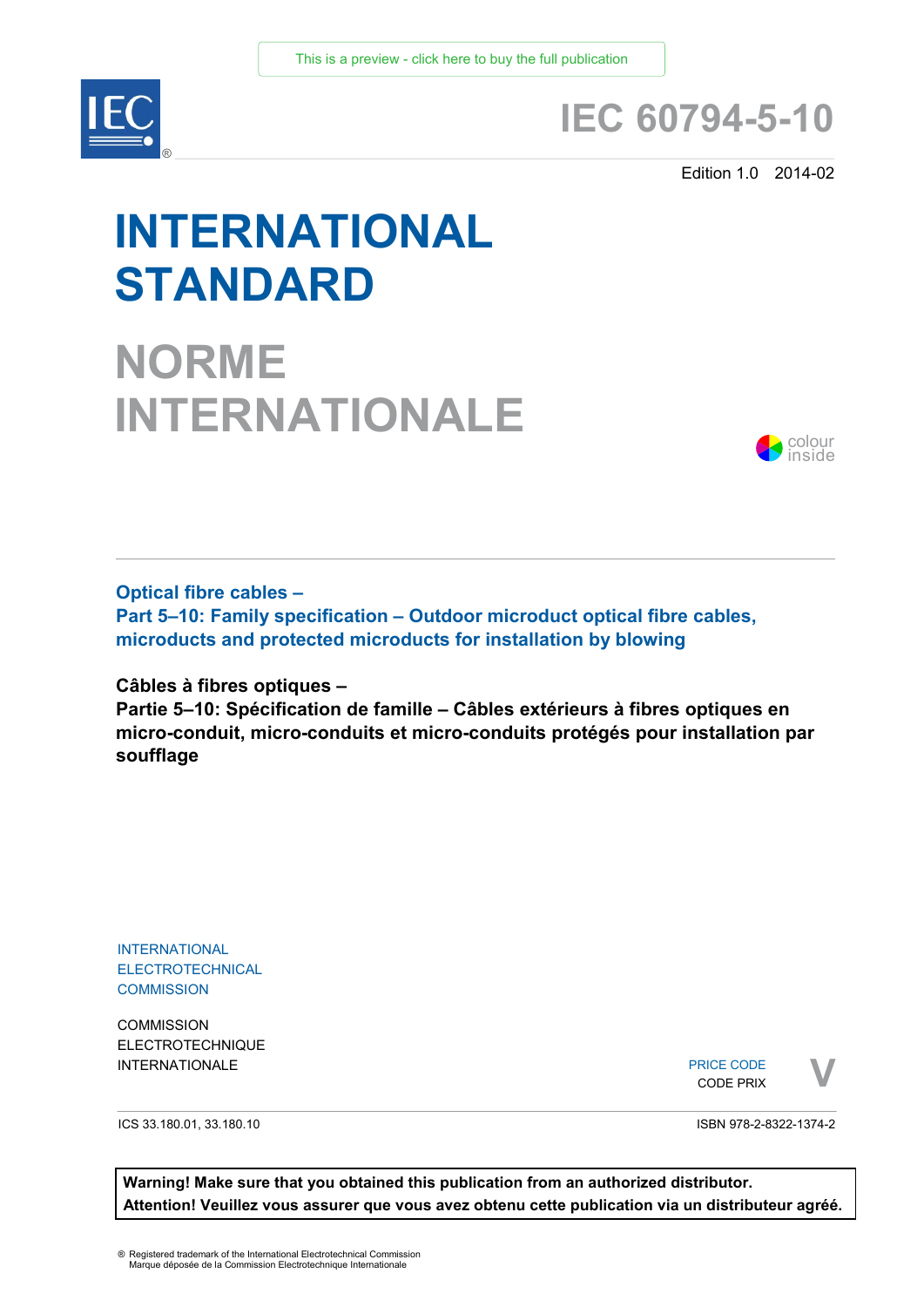

## **IEC 60794-5-10**

Edition 1.0 2014-02

# **INTERNATIONAL STANDARD**

**NORME INTERNATIONALE**



**Optical fibre cables – Part 5–10: Family specification – Outdoor microduct optical fibre cables, microducts and protected microducts for installation by blowing**

#### **Câbles à fibres optiques –**

**Partie 5–10: Spécification de famille – Câbles extérieurs à fibres optiques en micro-conduit, micro-conduits et micro-conduits protégés pour installation par soufflage**

INTERNATIONAL ELECTROTECHNICAL **COMMISSION** 

**COMMISSION** ELECTROTECHNIQUE

INTERNATIONALE PRICE CODE PRIX PRICE CODE CODE PRIX



ICS 33.180.01, 33.180.10

ISBN 978-2-8322-1374-2

**Warning! Make sure that you obtained this publication from an authorized distributor. Attention! Veuillez vous assurer que vous avez obtenu cette publication via un distributeur agréé.**

® Registered trademark of the International Electrotechnical Commission Marque déposée de la Commission Electrotechnique Internationale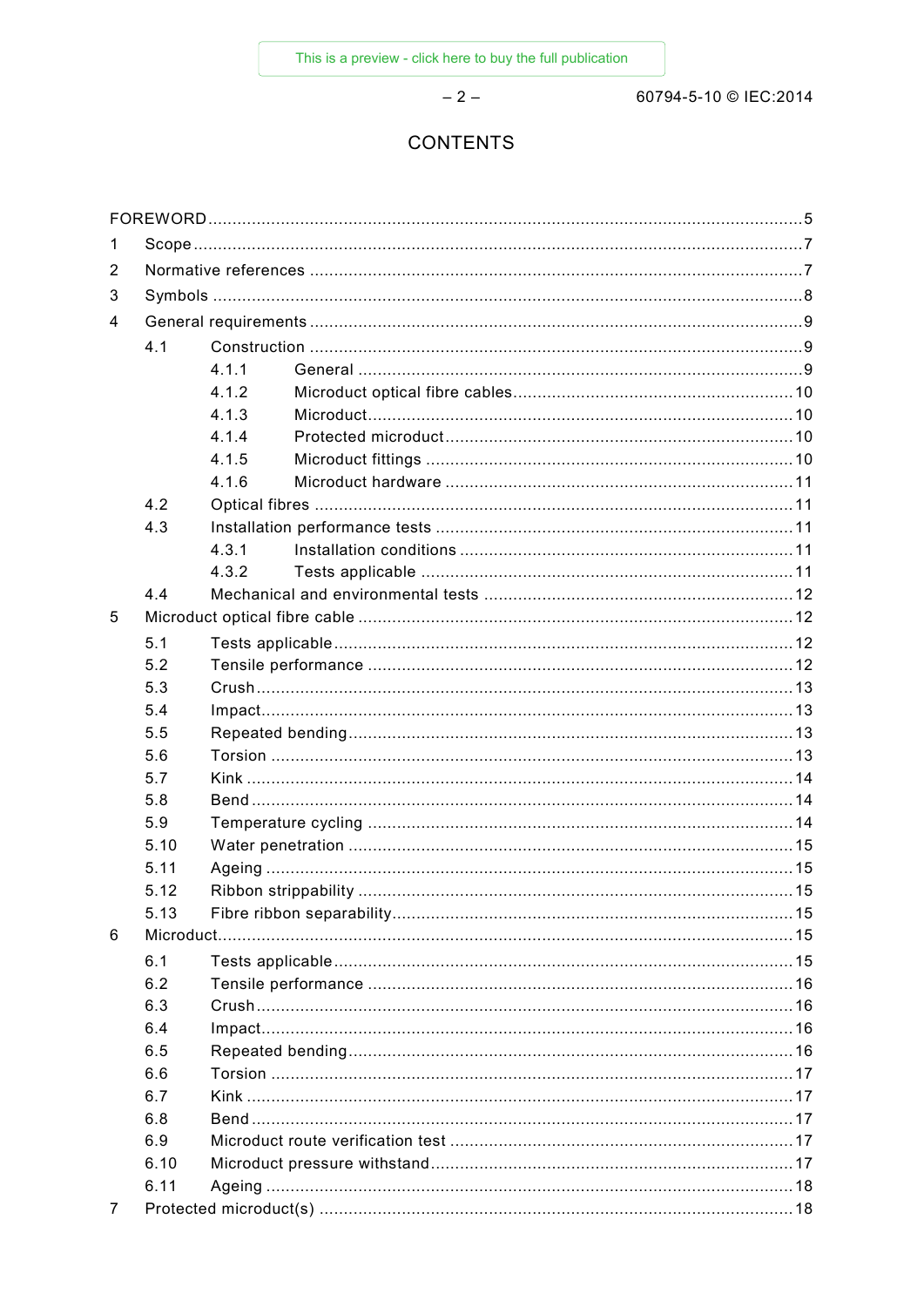$-2-$ 

60794-5-10 © IEC:2014

## **CONTENTS**

| 1 |              |       |  |  |
|---|--------------|-------|--|--|
| 2 |              |       |  |  |
| 3 |              |       |  |  |
| 4 |              |       |  |  |
|   | 4.1          |       |  |  |
|   |              | 4.1.1 |  |  |
|   |              | 4.1.2 |  |  |
|   |              | 4.1.3 |  |  |
|   |              | 4.1.4 |  |  |
|   |              | 4.1.5 |  |  |
|   |              | 4.1.6 |  |  |
|   | 4.2          |       |  |  |
|   | 4.3          |       |  |  |
|   |              | 4.3.1 |  |  |
|   |              | 4.3.2 |  |  |
|   | 4.4          |       |  |  |
| 5 |              |       |  |  |
|   | 5.1          |       |  |  |
|   | 5.2          |       |  |  |
|   | 5.3          |       |  |  |
|   | 5.4          |       |  |  |
|   | 5.5          |       |  |  |
|   | 5.6          |       |  |  |
|   | 5.7          |       |  |  |
|   | 5.8          |       |  |  |
|   | 5.9          |       |  |  |
|   | 5.10         |       |  |  |
|   | 5.11         |       |  |  |
|   | 5.12         |       |  |  |
|   | 5.13         |       |  |  |
| 6 |              |       |  |  |
|   | 6.1          |       |  |  |
|   | 6.2          |       |  |  |
|   | 6.3          |       |  |  |
|   | 6.4          |       |  |  |
|   | 6.5          |       |  |  |
|   | 6.6          |       |  |  |
|   | 6.7          |       |  |  |
|   | 6.8          |       |  |  |
|   | 6.9          |       |  |  |
|   | 6.10<br>6.11 |       |  |  |
| 7 |              |       |  |  |
|   |              |       |  |  |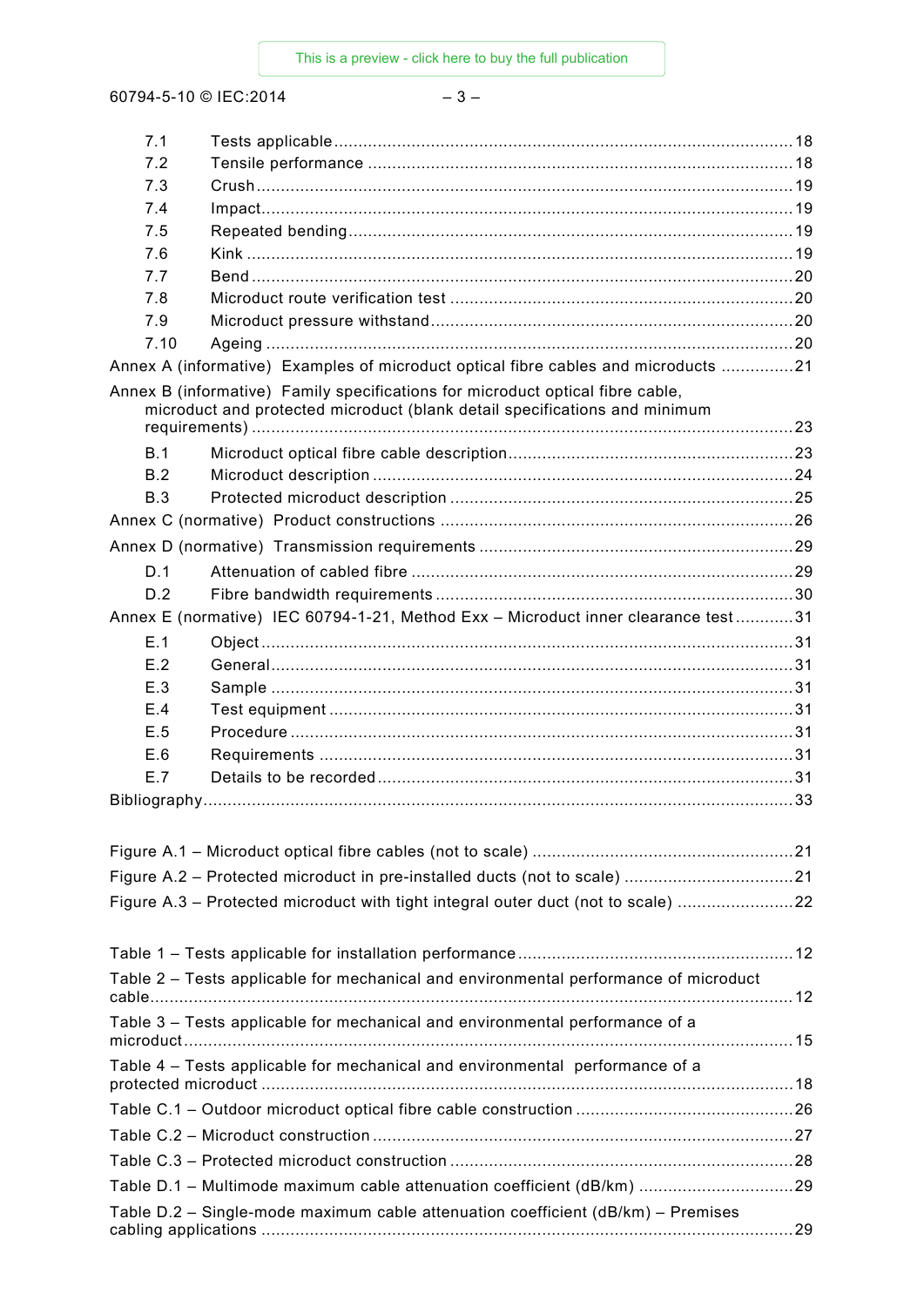60794-5-10 © IEC:2014 – 3 –

| 7.1                                                                              |                                                                                                                                                              |  |  |  |
|----------------------------------------------------------------------------------|--------------------------------------------------------------------------------------------------------------------------------------------------------------|--|--|--|
| 7.2                                                                              |                                                                                                                                                              |  |  |  |
| 7.3                                                                              |                                                                                                                                                              |  |  |  |
| 7.4                                                                              |                                                                                                                                                              |  |  |  |
| 7.5                                                                              |                                                                                                                                                              |  |  |  |
| 7.6                                                                              |                                                                                                                                                              |  |  |  |
| 7.7                                                                              |                                                                                                                                                              |  |  |  |
| 7.8                                                                              |                                                                                                                                                              |  |  |  |
| 7.9                                                                              |                                                                                                                                                              |  |  |  |
| 7.10                                                                             |                                                                                                                                                              |  |  |  |
|                                                                                  | Annex A (informative) Examples of microduct optical fibre cables and microducts 21                                                                           |  |  |  |
|                                                                                  | Annex B (informative) Family specifications for microduct optical fibre cable,<br>microduct and protected microduct (blank detail specifications and minimum |  |  |  |
| B.1                                                                              |                                                                                                                                                              |  |  |  |
| <b>B.2</b>                                                                       |                                                                                                                                                              |  |  |  |
| B.3                                                                              |                                                                                                                                                              |  |  |  |
|                                                                                  |                                                                                                                                                              |  |  |  |
|                                                                                  |                                                                                                                                                              |  |  |  |
| D.1                                                                              |                                                                                                                                                              |  |  |  |
| D.2                                                                              |                                                                                                                                                              |  |  |  |
|                                                                                  | Annex E (normative) IEC 60794-1-21, Method Exx - Microduct inner clearance test 31                                                                           |  |  |  |
| E.1                                                                              |                                                                                                                                                              |  |  |  |
| E.2                                                                              |                                                                                                                                                              |  |  |  |
| E.3                                                                              |                                                                                                                                                              |  |  |  |
| E.4                                                                              |                                                                                                                                                              |  |  |  |
| E.5                                                                              |                                                                                                                                                              |  |  |  |
| E.6                                                                              |                                                                                                                                                              |  |  |  |
| E.7                                                                              |                                                                                                                                                              |  |  |  |
|                                                                                  |                                                                                                                                                              |  |  |  |
|                                                                                  |                                                                                                                                                              |  |  |  |
|                                                                                  |                                                                                                                                                              |  |  |  |
|                                                                                  | Figure A.2 - Protected microduct in pre-installed ducts (not to scale) 21                                                                                    |  |  |  |
|                                                                                  | Figure A.3 - Protected microduct with tight integral outer duct (not to scale) 22                                                                            |  |  |  |
|                                                                                  |                                                                                                                                                              |  |  |  |
|                                                                                  |                                                                                                                                                              |  |  |  |
|                                                                                  |                                                                                                                                                              |  |  |  |
|                                                                                  | Table 2 - Tests applicable for mechanical and environmental performance of microduct                                                                         |  |  |  |
|                                                                                  | Table 3 - Tests applicable for mechanical and environmental performance of a                                                                                 |  |  |  |
|                                                                                  | Table 4 - Tests applicable for mechanical and environmental performance of a                                                                                 |  |  |  |
|                                                                                  |                                                                                                                                                              |  |  |  |
|                                                                                  |                                                                                                                                                              |  |  |  |
|                                                                                  |                                                                                                                                                              |  |  |  |
| Table D.1 - Multimode maximum cable attenuation coefficient (dB/km) 29           |                                                                                                                                                              |  |  |  |
| Table D.2 - Single-mode maximum cable attenuation coefficient (dB/km) - Premises |                                                                                                                                                              |  |  |  |
|                                                                                  |                                                                                                                                                              |  |  |  |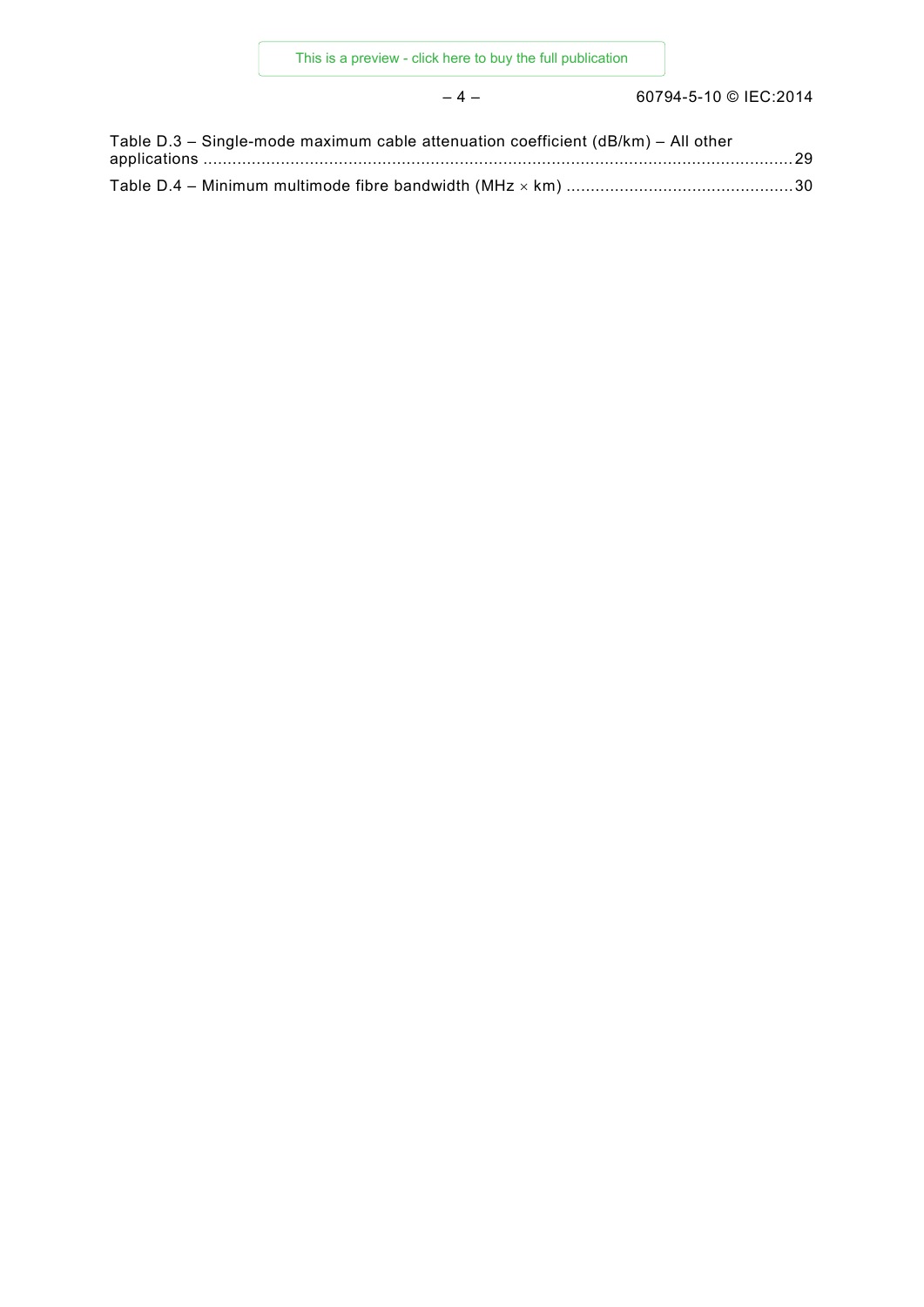– 4 – 60794-5-10 © IEC:2014

| Table $D.3$ – Single-mode maximum cable attenuation coefficient ( $dB/km$ ) – All other |  |
|-----------------------------------------------------------------------------------------|--|
|                                                                                         |  |
|                                                                                         |  |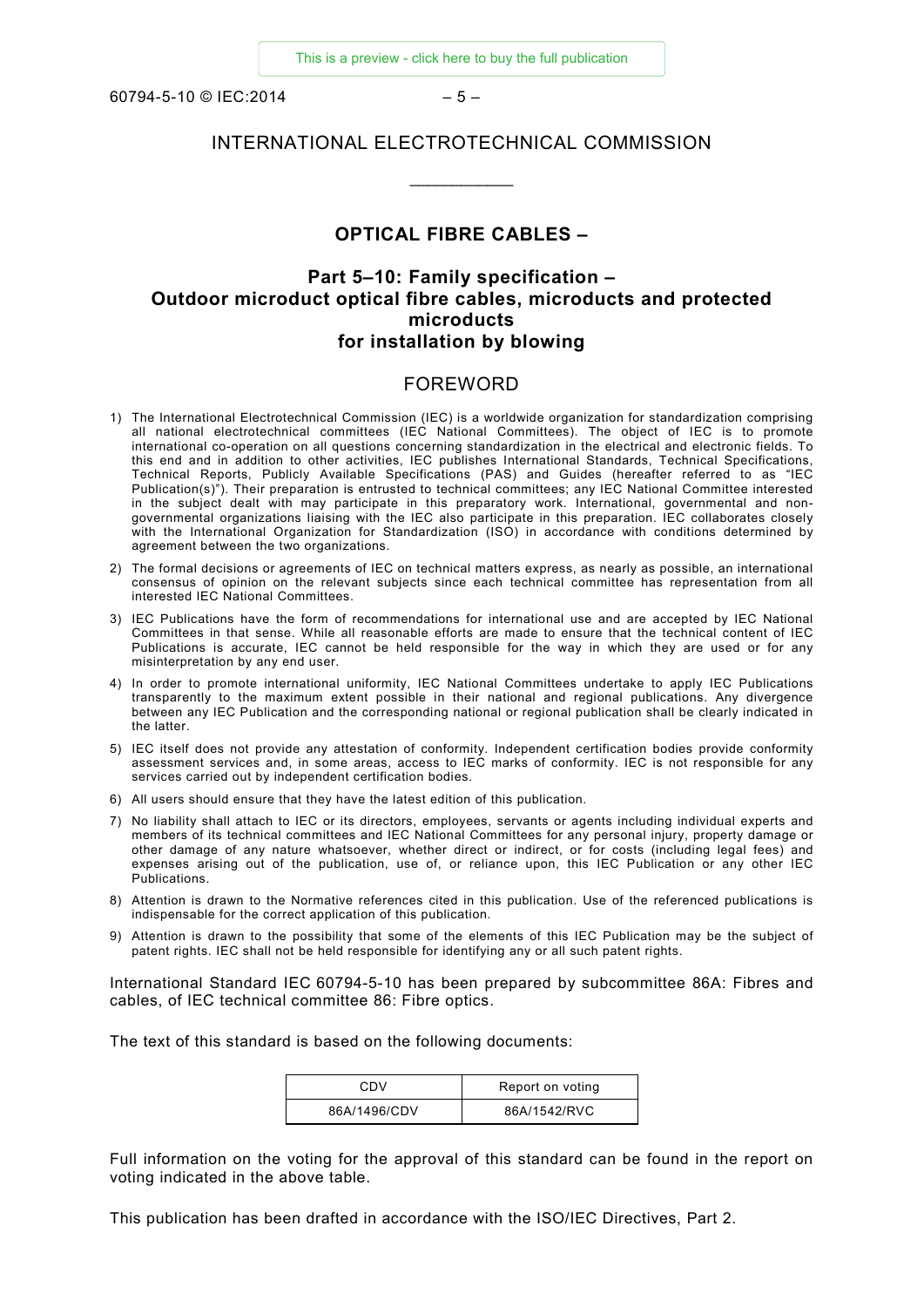$60794 - 5 - 10$  © IEC:2014 – 5

#### INTERNATIONAL ELECTROTECHNICAL COMMISSION

 $\overline{\phantom{a}}$ 

#### **OPTICAL FIBRE CABLES –**

#### **Part 5–10: Family specification – Outdoor microduct optical fibre cables, microducts and protected microducts for installation by blowing**

#### FOREWORD

- <span id="page-4-0"></span>1) The International Electrotechnical Commission (IEC) is a worldwide organization for standardization comprising all national electrotechnical committees (IEC National Committees). The object of IEC is to promote international co-operation on all questions concerning standardization in the electrical and electronic fields. To this end and in addition to other activities, IEC publishes International Standards, Technical Specifications, Technical Reports, Publicly Available Specifications (PAS) and Guides (hereafter referred to as "IEC Publication(s)"). Their preparation is entrusted to technical committees; any IEC National Committee interested in the subject dealt with may participate in this preparatory work. International, governmental and nongovernmental organizations liaising with the IEC also participate in this preparation. IEC collaborates closely with the International Organization for Standardization (ISO) in accordance with conditions determined by agreement between the two organizations.
- 2) The formal decisions or agreements of IEC on technical matters express, as nearly as possible, an international consensus of opinion on the relevant subjects since each technical committee has representation from all interested IEC National Committees.
- 3) IEC Publications have the form of recommendations for international use and are accepted by IEC National Committees in that sense. While all reasonable efforts are made to ensure that the technical content of IEC Publications is accurate, IEC cannot be held responsible for the way in which they are used or for any misinterpretation by any end user.
- 4) In order to promote international uniformity, IEC National Committees undertake to apply IEC Publications transparently to the maximum extent possible in their national and regional publications. Any divergence between any IEC Publication and the corresponding national or regional publication shall be clearly indicated in the latter.
- 5) IEC itself does not provide any attestation of conformity. Independent certification bodies provide conformity assessment services and, in some areas, access to IEC marks of conformity. IEC is not responsible for any services carried out by independent certification bodies.
- 6) All users should ensure that they have the latest edition of this publication.
- 7) No liability shall attach to IEC or its directors, employees, servants or agents including individual experts and members of its technical committees and IEC National Committees for any personal injury, property damage or other damage of any nature whatsoever, whether direct or indirect, or for costs (including legal fees) and expenses arising out of the publication, use of, or reliance upon, this IEC Publication or any other IEC Publications.
- 8) Attention is drawn to the Normative references cited in this publication. Use of the referenced publications is indispensable for the correct application of this publication.
- 9) Attention is drawn to the possibility that some of the elements of this IEC Publication may be the subject of patent rights. IEC shall not be held responsible for identifying any or all such patent rights.

International Standard IEC 60794-5-10 has been prepared by subcommittee 86A: Fibres and cables, of IEC technical committee 86: Fibre optics.

The text of this standard is based on the following documents:

| CDV          | Report on voting |
|--------------|------------------|
| 86A/1496/CDV | 86A/1542/RVC     |

Full information on the voting for the approval of this standard can be found in the report on voting indicated in the above table.

This publication has been drafted in accordance with the ISO/IEC Directives, Part 2.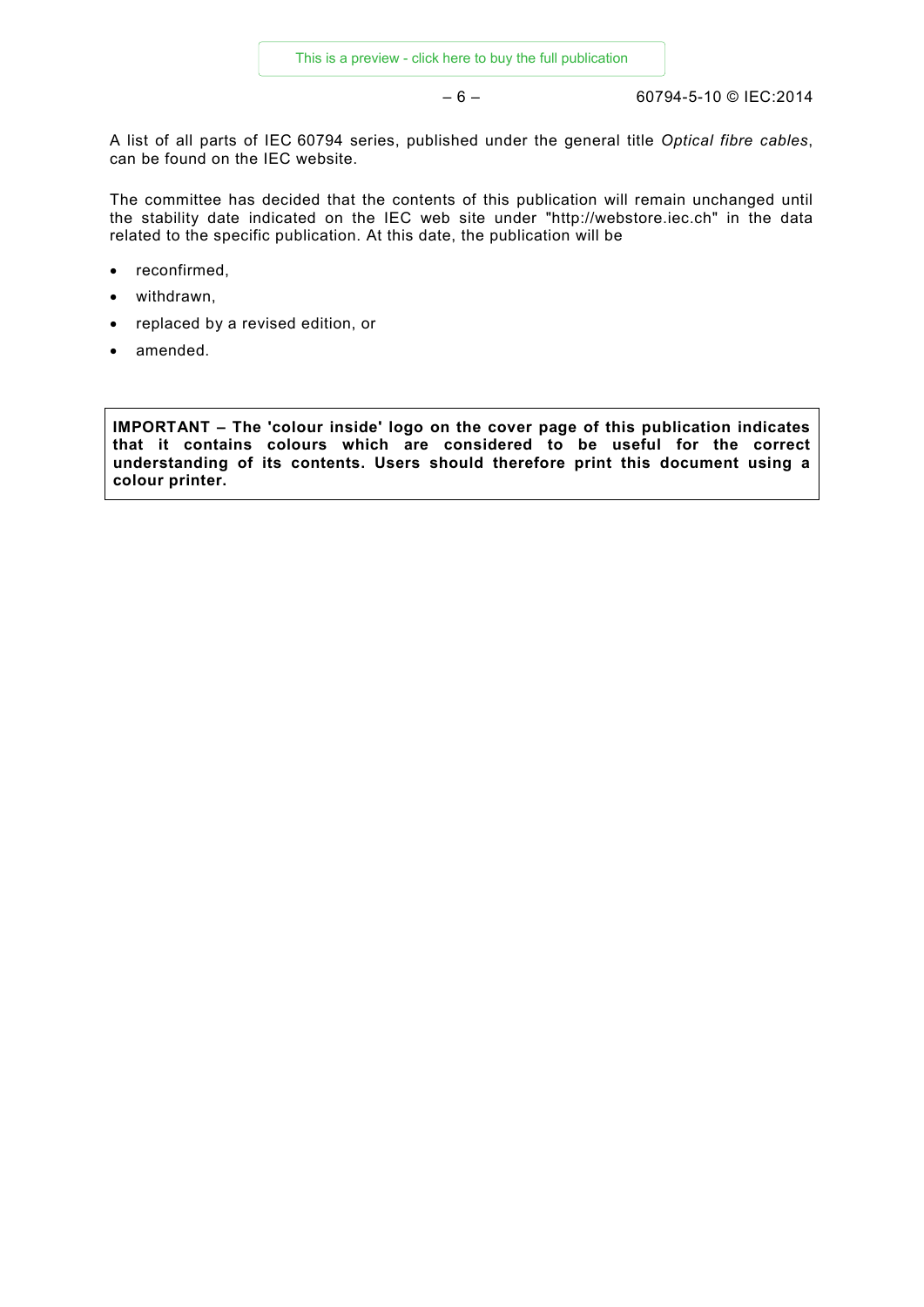$-6 - 6$  60794-5-10 © IEC:2014

A list of all parts of IEC 60794 series, published under the general title *Optical fibre cables*, can be found on the IEC website.

The committee has decided that the contents of this publication will remain unchanged until the stability date indicated on the IEC web site under "http://webstore.iec.ch" in the data related to the specific publication. At this date, the publication will be

- reconfirmed,
- withdrawn,
- replaced by a revised edition, or
- amended.

**IMPORTANT – The 'colour inside' logo on the cover page of this publication indicates that it contains colours which are considered to be useful for the correct understanding of its contents. Users should therefore print this document using a colour printer.**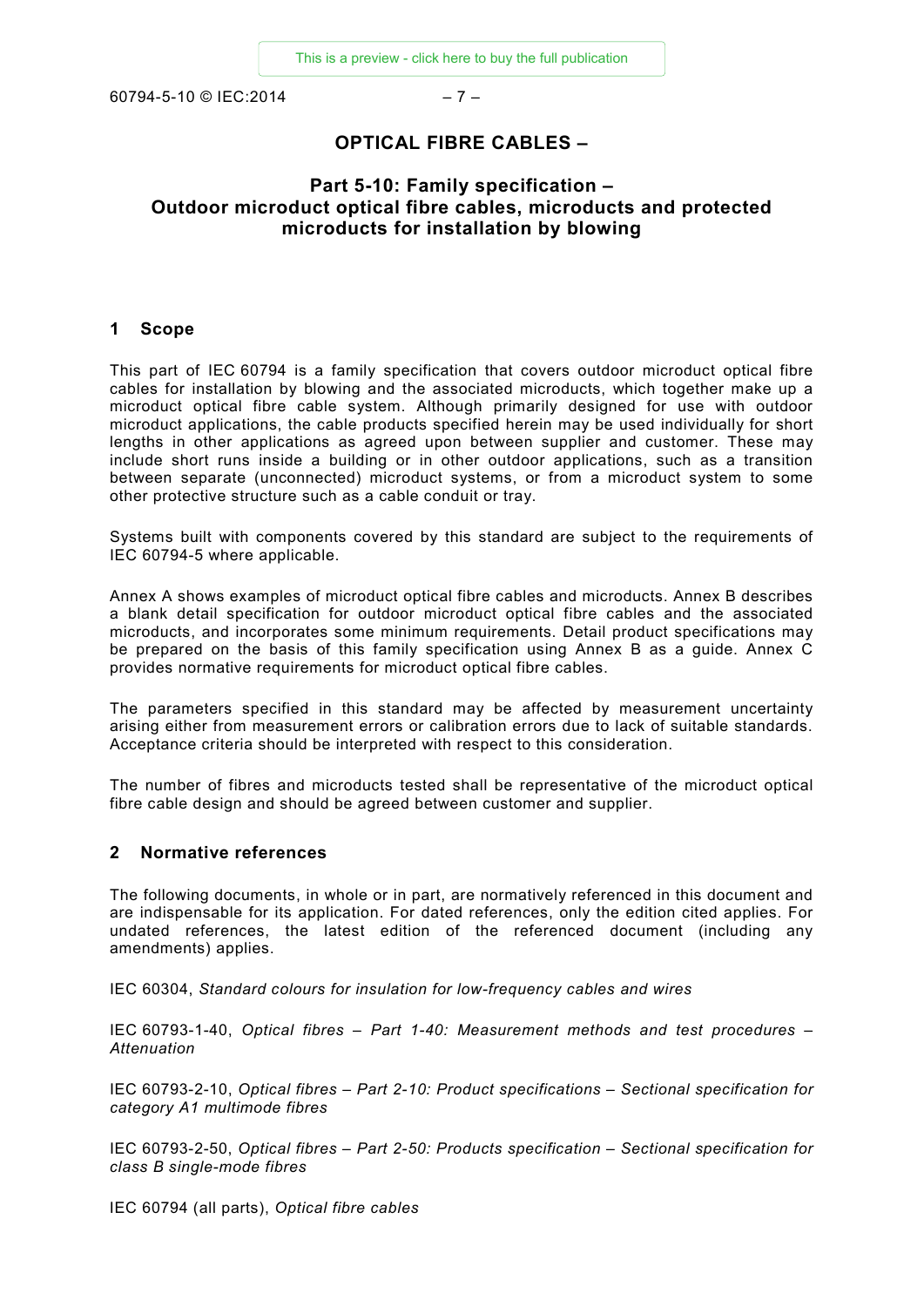$60794 - 5 - 10$  © IEC:2014 – 7 –

#### **OPTICAL FIBRE CABLES –**

#### **Part 5-10: Family specification – Outdoor microduct optical fibre cables, microducts and protected microducts for installation by blowing**

#### <span id="page-6-0"></span>**1 Scope**

This part of IEC 60794 is a family specification that covers outdoor microduct optical fibre cables for installation by blowing and the associated microducts, which together make up a microduct optical fibre cable system. Although primarily designed for use with outdoor microduct applications, the cable products specified herein may be used individually for short lengths in other applications as agreed upon between supplier and customer. These may include short runs inside a building or in other outdoor applications, such as a transition between separate (unconnected) microduct systems, or from a microduct system to some other protective structure such as a cable conduit or tray.

Systems built with components covered by this standard are subject to the requirements of IEC 60794-5 where applicable.

Annex A shows examples of microduct optical fibre cables and microducts. Annex B describes a blank detail specification for outdoor microduct optical fibre cables and the associated microducts, and incorporates some minimum requirements. Detail product specifications may be prepared on the basis of this family specification using Annex B as a guide. Annex C provides normative requirements for microduct optical fibre cables.

The parameters specified in this standard may be affected by measurement uncertainty arising either from measurement errors or calibration errors due to lack of suitable standards. Acceptance criteria should be interpreted with respect to this consideration.

The number of fibres and microducts tested shall be representative of the microduct optical fibre cable design and should be agreed between customer and supplier.

#### <span id="page-6-1"></span>**2 Normative references**

The following documents, in whole or in part, are normatively referenced in this document and are indispensable for its application. For dated references, only the edition cited applies. For undated references, the latest edition of the referenced document (including any amendments) applies.

IEC 60304, *Standard colours for insulation for low-frequency cables and wires*

IEC 60793-1-40, *Optical fibres – Part 1-40: Measurement methods and test procedures – Attenuation*

IEC 60793-2-10, *Optical fibres – Part 2-10: Product specifications – Sectional specification for category A1 multimode fibres*

IEC 60793-2-50, *Optical fibres – Part 2-50: Products specification – Sectional specification for class B single-mode fibres*

IEC 60794 (all parts), *Optical fibre cables*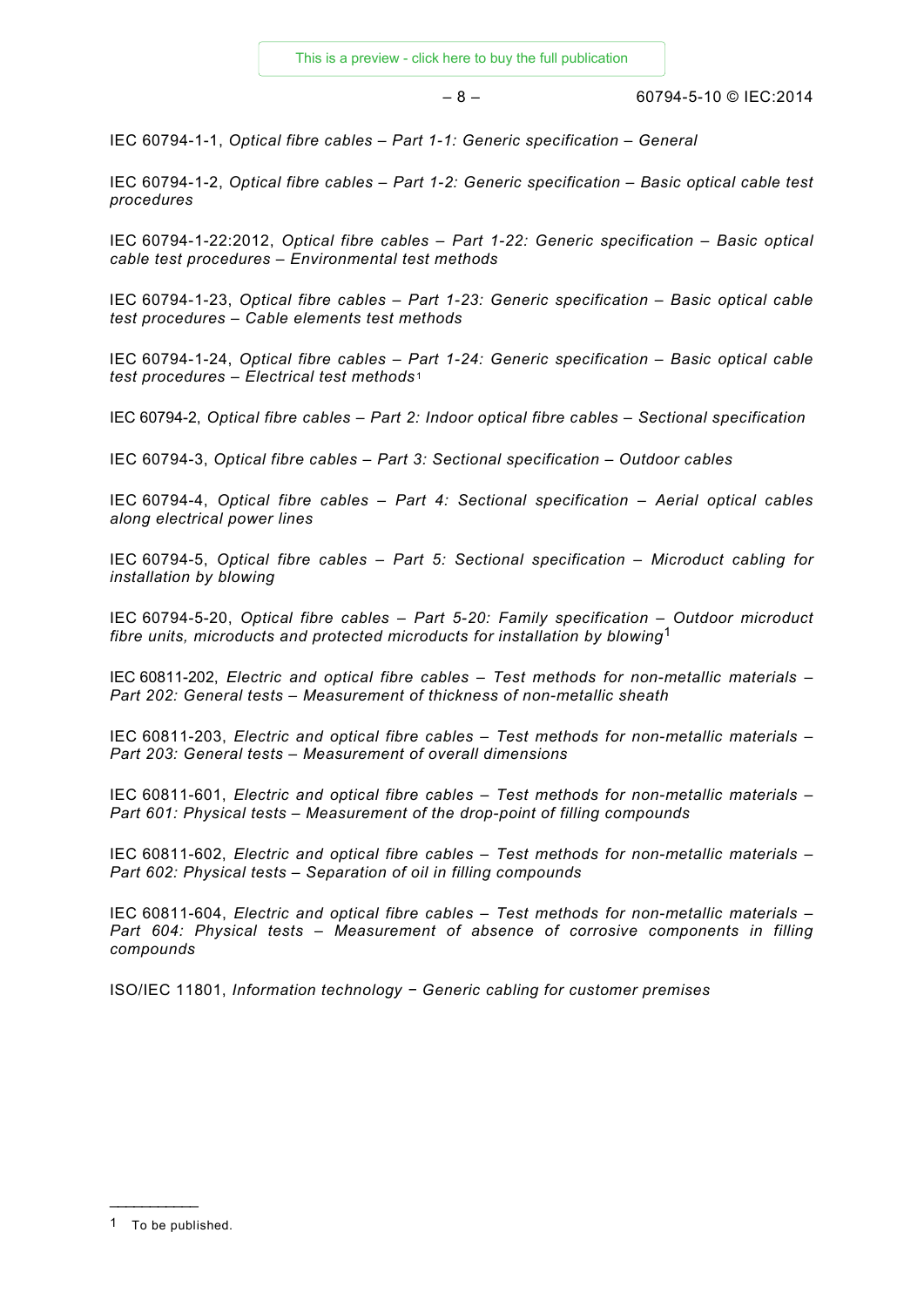$-8 - 8 - 60794 - 5 - 10015$ 

IEC 60794-1-1, *Optical fibre cables – Part 1-1: Generic specification – General*

IEC 60794-1-2, *Optical fibre cables – Part 1-2: Generic specification – Basic optical cable test procedures*

IEC 60794-1-22:2012, *Optical fibre cables – Part 1-22: Generic specification – Basic optical cable test procedures – Environmental test methods*

IEC 60794-1-23, *Optical fibre cables – Part 1-23: Generic specification – Basic optical cable test procedures – Cable elements test methods*

IEC 60794-1-24, *Optical fibre cables – Part 1-24: Generic specification – Basic optical cable test procedures – Electrical test methods* [1](#page-7-1)

IEC 60794-2, *Optical fibre cables – Part 2: Indoor optical fibre cables – Sectional specification*

IEC 60794-3, *Optical fibre cables – Part 3: Sectional specification – Outdoor cables*

IEC 60794-4, *Optical fibre cables – Part 4: Sectional specification – Aerial optical cables along electrical power lines*

IEC 60794-5, *Optical fibre cables – Part 5: Sectional specification – Microduct cabling for installation by blowing*

IEC 60794-5-20, *Optical fibre cables – Part 5-20: Family specification – Outdoor microduct fibre units, microducts and protected microducts for installation by blowing*<sup>1</sup>

IEC 60811-202, *Electric and optical fibre cables – Test methods for non-metallic materials – Part 202: General tests – Measurement of thickness of non-metallic sheath*

IEC 60811-203, *Electric and optical fibre cables – Test methods for non-metallic materials – Part 203: General tests – Measurement of overall dimensions*

IEC 60811-601, *Electric and optical fibre cables – Test methods for non-metallic materials – Part 601: Physical tests – Measurement of the drop-point of filling compounds*

IEC 60811-602, *Electric and optical fibre cables – Test methods for non-metallic materials – Part 602: Physical tests – Separation of oil in filling compounds*

IEC 60811-604, *Electric and optical fibre cables – Test methods for non-metallic materials – Part 604: Physical tests – Measurement of absence of corrosive components in filling compounds*

<span id="page-7-0"></span>ISO/IEC 11801, *Information technology − Generic cabling for customer premises*

 $\overline{\phantom{a}}$ 

<span id="page-7-1"></span><sup>1</sup> To be published.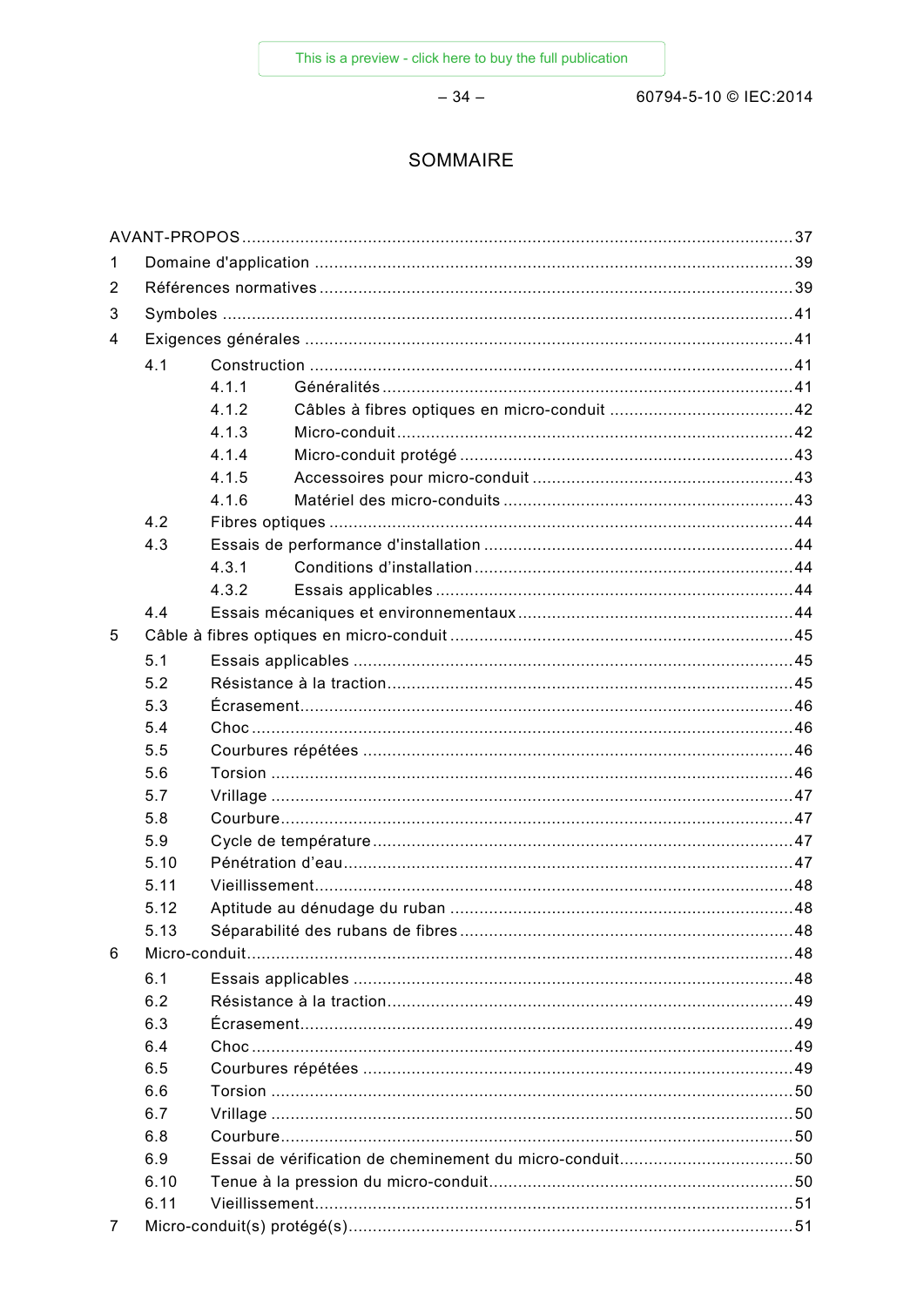$-34-$ 

60794-5-10 © IEC:2014

## SOMMAIRE

| 1 |      |       |                                                         |  |
|---|------|-------|---------------------------------------------------------|--|
| 2 |      |       |                                                         |  |
| 3 |      |       |                                                         |  |
| 4 |      |       |                                                         |  |
|   | 4.1  |       |                                                         |  |
|   |      | 4.1.1 |                                                         |  |
|   |      | 4.1.2 |                                                         |  |
|   |      | 4.1.3 |                                                         |  |
|   |      | 4.1.4 |                                                         |  |
|   |      | 4.1.5 |                                                         |  |
|   |      | 4.1.6 |                                                         |  |
|   | 4.2  |       |                                                         |  |
|   | 4.3  |       |                                                         |  |
|   |      | 4.3.1 |                                                         |  |
|   |      | 4.3.2 |                                                         |  |
|   | 4.4  |       |                                                         |  |
| 5 |      |       |                                                         |  |
|   | 5.1  |       |                                                         |  |
|   | 5.2  |       |                                                         |  |
|   | 5.3  |       |                                                         |  |
|   | 5.4  |       |                                                         |  |
|   | 5.5  |       |                                                         |  |
|   | 5.6  |       |                                                         |  |
|   | 5.7  |       |                                                         |  |
|   | 5.8  |       |                                                         |  |
|   | 5.9  |       |                                                         |  |
|   | 5.10 |       |                                                         |  |
|   | 5.11 |       |                                                         |  |
|   | 5.12 |       |                                                         |  |
|   | 5.13 |       |                                                         |  |
| 6 |      |       |                                                         |  |
|   | 6.1  |       |                                                         |  |
|   | 6.2  |       |                                                         |  |
|   | 6.3  |       |                                                         |  |
|   | 6.4  |       |                                                         |  |
|   | 6.5  |       |                                                         |  |
|   | 6.6  |       |                                                         |  |
|   | 6.7  |       |                                                         |  |
|   | 6.8  |       |                                                         |  |
|   | 6.9  |       | Essai de vérification de cheminement du micro-conduit50 |  |
|   | 6.10 |       |                                                         |  |
|   | 6.11 |       |                                                         |  |
| 7 |      |       |                                                         |  |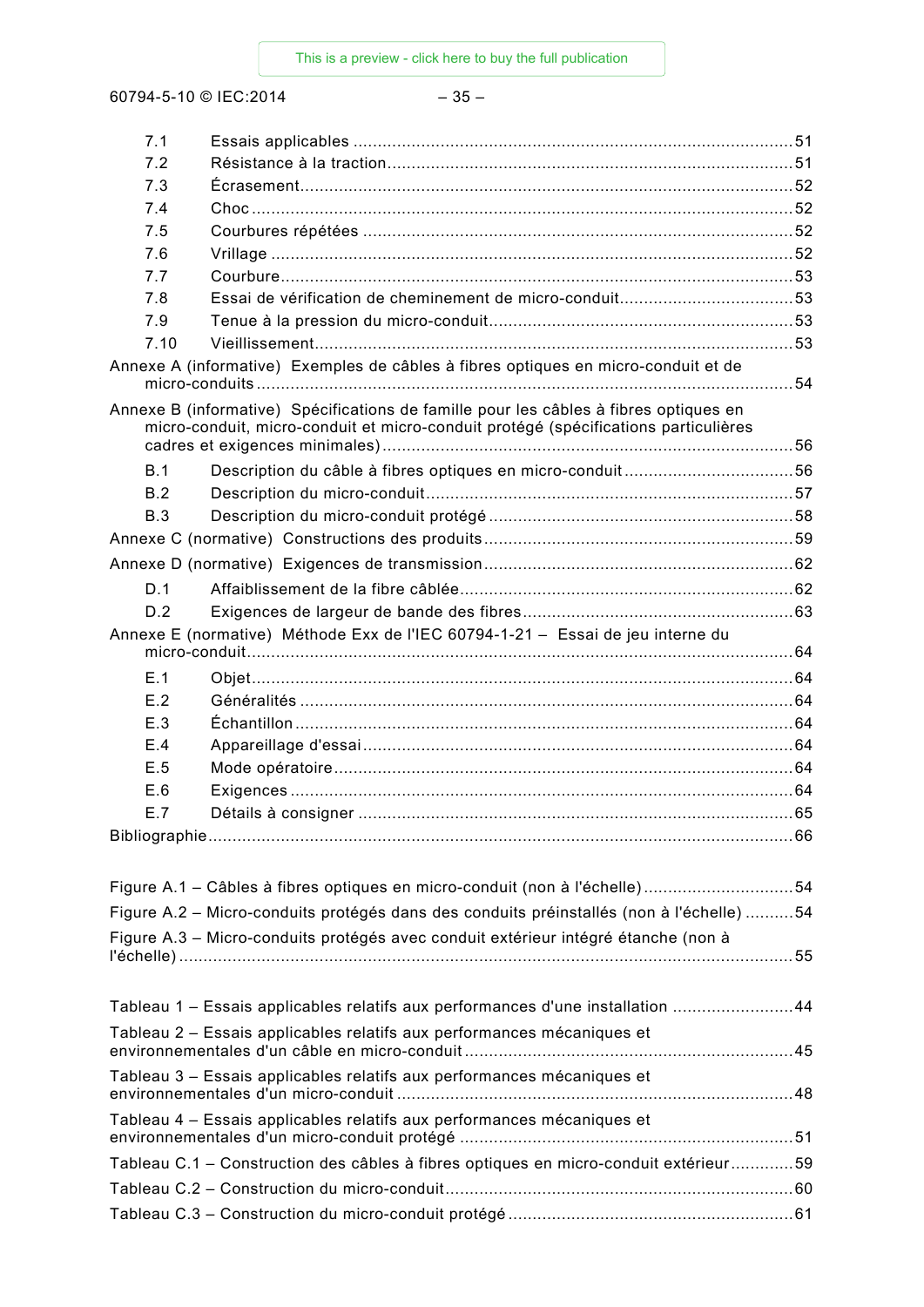60794-5-10 © IEC:2014 - 35 -

| 7.1                                                                                  |                                                                                                                                                                              |  |  |  |
|--------------------------------------------------------------------------------------|------------------------------------------------------------------------------------------------------------------------------------------------------------------------------|--|--|--|
| 7.2                                                                                  |                                                                                                                                                                              |  |  |  |
| 7.3                                                                                  |                                                                                                                                                                              |  |  |  |
| 7.4                                                                                  |                                                                                                                                                                              |  |  |  |
| 7.5                                                                                  |                                                                                                                                                                              |  |  |  |
| 7.6                                                                                  |                                                                                                                                                                              |  |  |  |
| 7.7                                                                                  |                                                                                                                                                                              |  |  |  |
| 7.8                                                                                  |                                                                                                                                                                              |  |  |  |
| 7.9                                                                                  |                                                                                                                                                                              |  |  |  |
| 7.10                                                                                 |                                                                                                                                                                              |  |  |  |
|                                                                                      | Annexe A (informative) Exemples de câbles à fibres optiques en micro-conduit et de                                                                                           |  |  |  |
|                                                                                      | Annexe B (informative) Spécifications de famille pour les câbles à fibres optiques en<br>micro-conduit, micro-conduit et micro-conduit protégé (spécifications particulières |  |  |  |
| B.1                                                                                  |                                                                                                                                                                              |  |  |  |
| B.2                                                                                  |                                                                                                                                                                              |  |  |  |
| B.3                                                                                  |                                                                                                                                                                              |  |  |  |
|                                                                                      |                                                                                                                                                                              |  |  |  |
|                                                                                      |                                                                                                                                                                              |  |  |  |
| D.1                                                                                  |                                                                                                                                                                              |  |  |  |
| D.2                                                                                  |                                                                                                                                                                              |  |  |  |
|                                                                                      | Annexe E (normative) Méthode Exx de l'IEC 60794-1-21 - Essai de jeu interne du                                                                                               |  |  |  |
| E.1                                                                                  |                                                                                                                                                                              |  |  |  |
| E.2                                                                                  |                                                                                                                                                                              |  |  |  |
| E.3                                                                                  |                                                                                                                                                                              |  |  |  |
| E.4                                                                                  |                                                                                                                                                                              |  |  |  |
| E.5                                                                                  |                                                                                                                                                                              |  |  |  |
| E.6                                                                                  |                                                                                                                                                                              |  |  |  |
| E.7                                                                                  |                                                                                                                                                                              |  |  |  |
|                                                                                      |                                                                                                                                                                              |  |  |  |
|                                                                                      | Figure A.1 – Câbles à fibres optiques en micro-conduit (non à l'échelle)54                                                                                                   |  |  |  |
|                                                                                      | Figure A.2 - Micro-conduits protégés dans des conduits préinstallés (non à l'échelle) 54                                                                                     |  |  |  |
| Figure A.3 – Micro-conduits protégés avec conduit extérieur intégré étanche (non à   |                                                                                                                                                                              |  |  |  |
|                                                                                      |                                                                                                                                                                              |  |  |  |
| Tableau 1 – Essais applicables relatifs aux performances d'une installation 44       |                                                                                                                                                                              |  |  |  |
| Tableau 2 – Essais applicables relatifs aux performances mécaniques et               |                                                                                                                                                                              |  |  |  |
| Tableau 3 – Essais applicables relatifs aux performances mécaniques et               |                                                                                                                                                                              |  |  |  |
| Tableau 4 - Essais applicables relatifs aux performances mécaniques et               |                                                                                                                                                                              |  |  |  |
| Tableau C.1 - Construction des câbles à fibres optiques en micro-conduit extérieur59 |                                                                                                                                                                              |  |  |  |
|                                                                                      |                                                                                                                                                                              |  |  |  |
|                                                                                      |                                                                                                                                                                              |  |  |  |
|                                                                                      |                                                                                                                                                                              |  |  |  |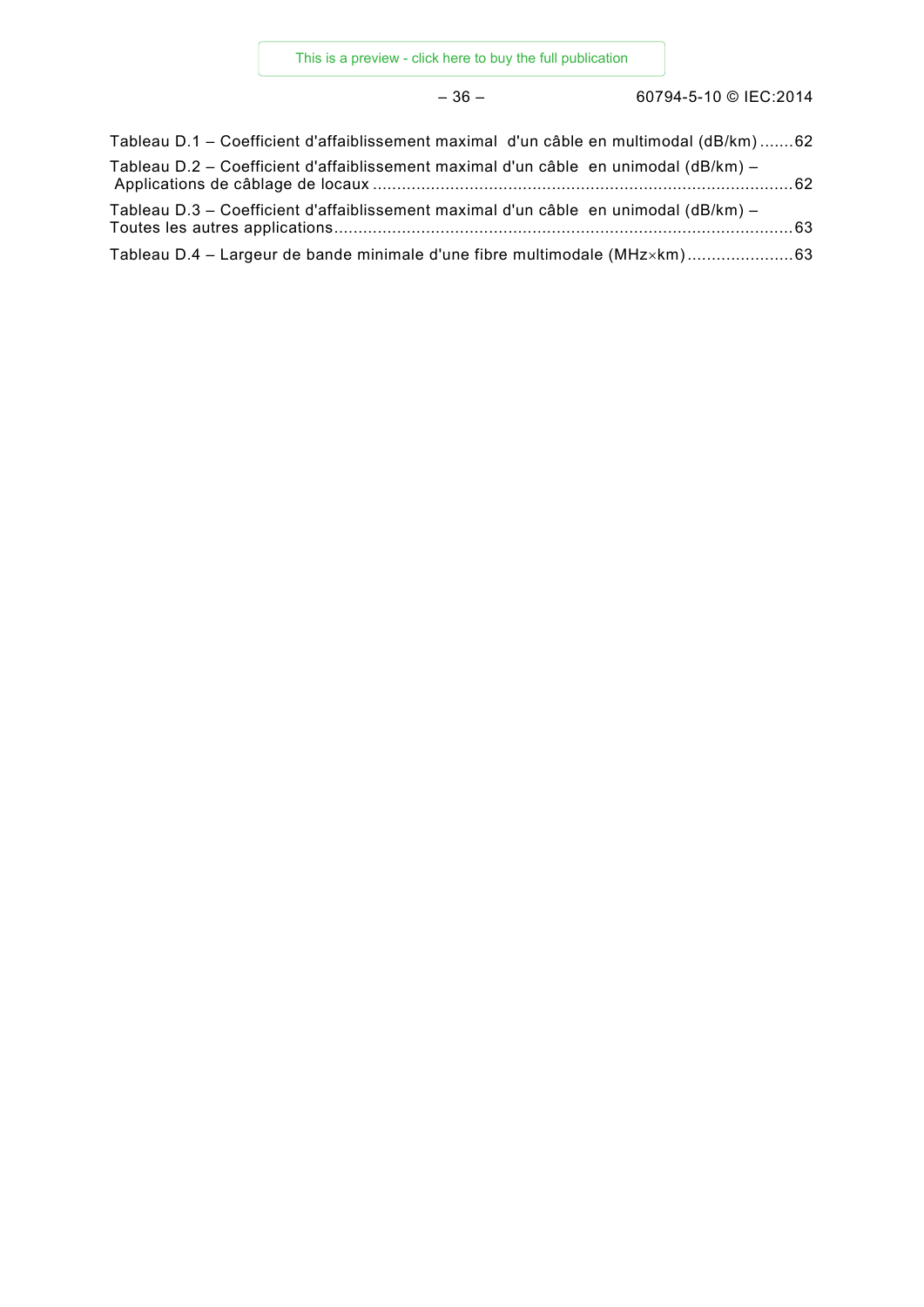| Tableau D.1 - Coefficient d'affaiblissement maximal d'un câble en multimodal (dB/km)62 |  |
|----------------------------------------------------------------------------------------|--|
| Tableau D.2 – Coefficient d'affaiblissement maximal d'un câble en unimodal (dB/km) –   |  |
| Tableau D.3 – Coefficient d'affaiblissement maximal d'un câble en unimodal (dB/km) –   |  |
| Tableau D.4 - Largeur de bande minimale d'une fibre multimodale (MHz×km)63             |  |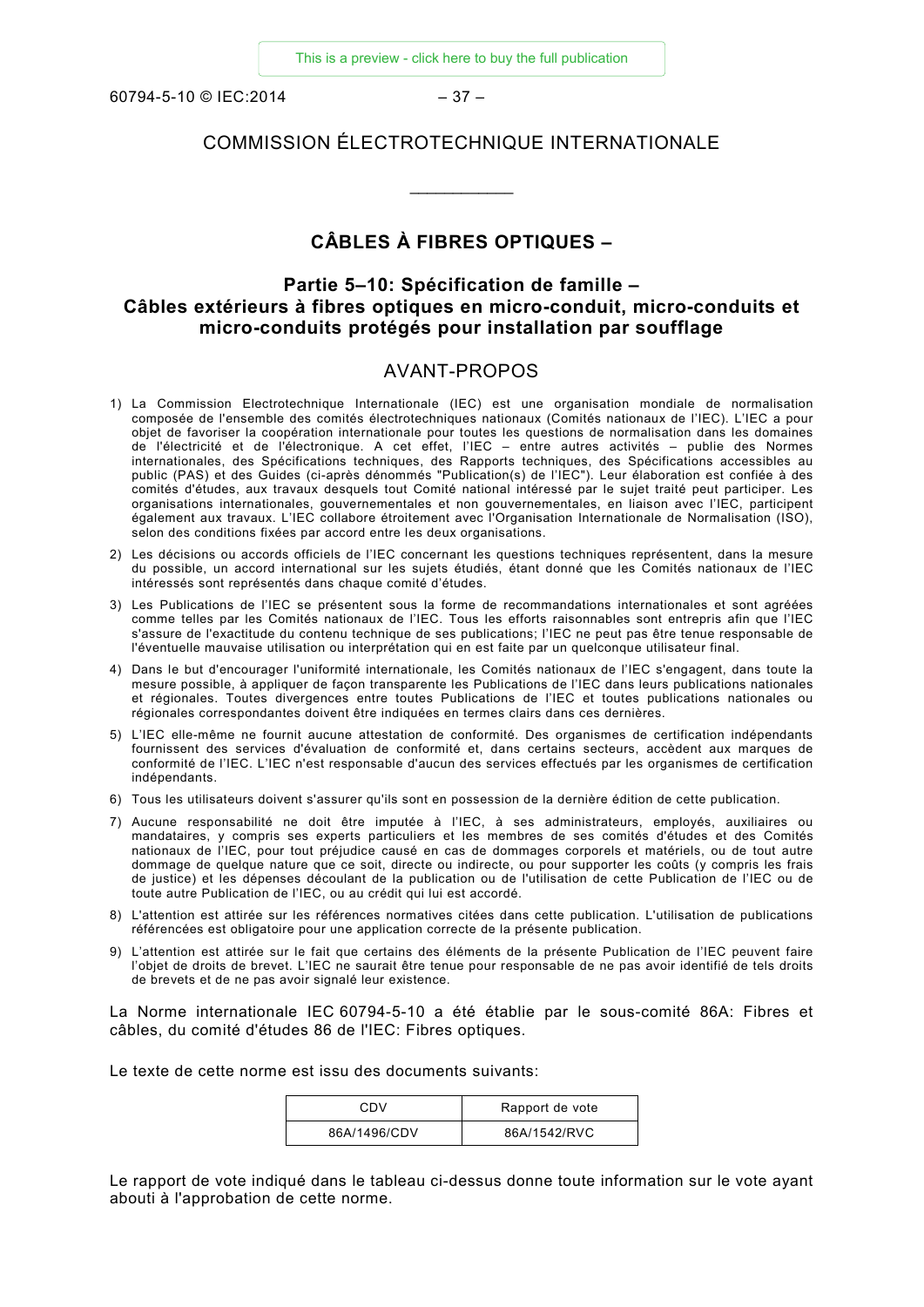$60794 - 5 - 10$  © IEC: 2014 – 37 –

#### COMMISSION ÉLECTROTECHNIQUE INTERNATIONALE

\_\_\_\_\_\_\_\_\_\_\_\_

#### **CÂBLES À FIBRES OPTIQUES –**

#### **Partie 5–10: Spécification de famille – Câbles extérieurs à fibres optiques en micro-conduit, micro-conduits et micro-conduits protégés pour installation par soufflage**

#### AVANT-PROPOS

- <span id="page-11-0"></span>1) La Commission Electrotechnique Internationale (IEC) est une organisation mondiale de normalisation composée de l'ensemble des comités électrotechniques nationaux (Comités nationaux de l'IEC). L'IEC a pour objet de favoriser la coopération internationale pour toutes les questions de normalisation dans les domaines de l'électricité et de l'électronique. A cet effet, l'IEC – entre autres activités – publie des Normes internationales, des Spécifications techniques, des Rapports techniques, des Spécifications accessibles au public (PAS) et des Guides (ci-après dénommés "Publication(s) de l'IEC"). Leur élaboration est confiée à des comités d'études, aux travaux desquels tout Comité national intéressé par le sujet traité peut participer. Les organisations internationales, gouvernementales et non gouvernementales, en liaison avec l'IEC, participent également aux travaux. L'IEC collabore étroitement avec l'Organisation Internationale de Normalisation (ISO), selon des conditions fixées par accord entre les deux organisations.
- 2) Les décisions ou accords officiels de l'IEC concernant les questions techniques représentent, dans la mesure du possible, un accord international sur les sujets étudiés, étant donné que les Comités nationaux de l'IEC intéressés sont représentés dans chaque comité d'études.
- 3) Les Publications de l'IEC se présentent sous la forme de recommandations internationales et sont agréées comme telles par les Comités nationaux de l'IEC. Tous les efforts raisonnables sont entrepris afin que l'IEC s'assure de l'exactitude du contenu technique de ses publications; l'IEC ne peut pas être tenue responsable de l'éventuelle mauvaise utilisation ou interprétation qui en est faite par un quelconque utilisateur final.
- 4) Dans le but d'encourager l'uniformité internationale, les Comités nationaux de l'IEC s'engagent, dans toute la mesure possible, à appliquer de façon transparente les Publications de l'IEC dans leurs publications nationales et régionales. Toutes divergences entre toutes Publications de l'IEC et toutes publications nationales ou régionales correspondantes doivent être indiquées en termes clairs dans ces dernières.
- 5) L'IEC elle-même ne fournit aucune attestation de conformité. Des organismes de certification indépendants fournissent des services d'évaluation de conformité et, dans certains secteurs, accèdent aux marques de conformité de l'IEC. L'IEC n'est responsable d'aucun des services effectués par les organismes de certification indépendants.
- 6) Tous les utilisateurs doivent s'assurer qu'ils sont en possession de la dernière édition de cette publication.
- 7) Aucune responsabilité ne doit être imputée à l'IEC, à ses administrateurs, employés, auxiliaires ou mandataires, y compris ses experts particuliers et les membres de ses comités d'études et des Comités nationaux de l'IEC, pour tout préjudice causé en cas de dommages corporels et matériels, ou de tout autre dommage de quelque nature que ce soit, directe ou indirecte, ou pour supporter les coûts (y compris les frais de justice) et les dépenses découlant de la publication ou de l'utilisation de cette Publication de l'IEC ou de toute autre Publication de l'IEC, ou au crédit qui lui est accordé.
- 8) L'attention est attirée sur les références normatives citées dans cette publication. L'utilisation de publications référencées est obligatoire pour une application correcte de la présente publication.
- 9) L'attention est attirée sur le fait que certains des éléments de la présente Publication de l'IEC peuvent faire l'objet de droits de brevet. L'IEC ne saurait être tenue pour responsable de ne pas avoir identifié de tels droits de brevets et de ne pas avoir signalé leur existence.

La Norme internationale IEC 60794-5-10 a été établie par le sous-comité 86A: Fibres et câbles, du comité d'études 86 de l'IEC: Fibres optiques.

Le texte de cette norme est issu des documents suivants:

| CDV          | Rapport de vote |
|--------------|-----------------|
| 86A/1496/CDV | 86A/1542/RVC    |

Le rapport de vote indiqué dans le tableau ci-dessus donne toute information sur le vote ayant abouti à l'approbation de cette norme.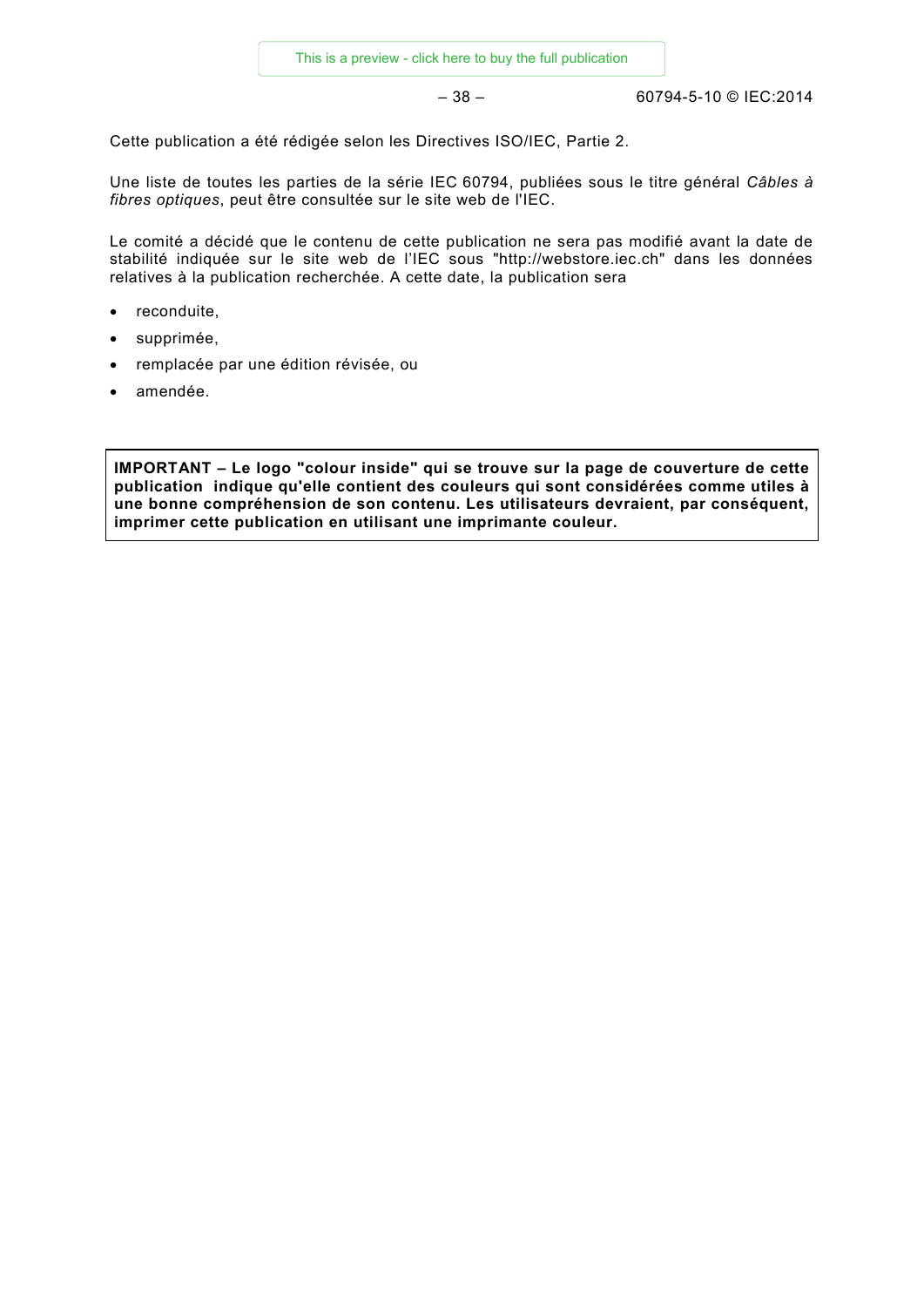$-38 - 60794 - 5 - 10$  © IEC:2014

Cette publication a été rédigée selon les Directives ISO/IEC, Partie 2.

Une liste de toutes les parties de la série IEC 60794, publiées sous le titre général *Câbles à fibres optiques*, peut être consultée sur le site web de l'IEC.

Le comité a décidé que le contenu de cette publication ne sera pas modifié avant la date de stabilité indiquée sur le site web de l'IEC sous "http://webstore.iec.ch" dans les données relatives à la publication recherchée. A cette date, la publication sera

- reconduite,
- supprimée,
- remplacée par une édition révisée, ou
- amendée.

**IMPORTANT – Le logo "colour inside" qui se trouve sur la page de couverture de cette publication indique qu'elle contient des couleurs qui sont considérées comme utiles à une bonne compréhension de son contenu. Les utilisateurs devraient, par conséquent, imprimer cette publication en utilisant une imprimante couleur.**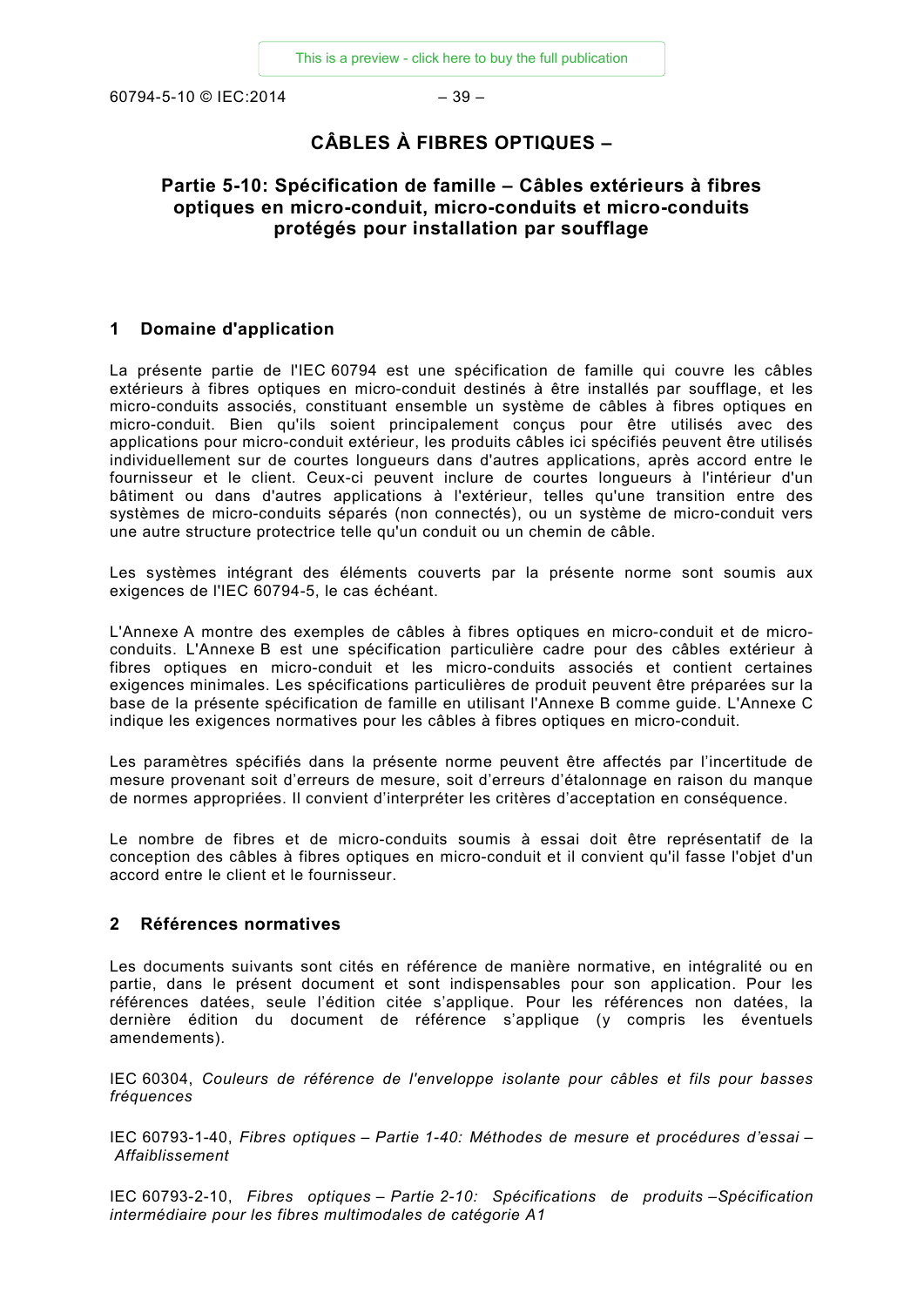$60794 - 5 - 10$  © IEC: 2014 – 39 –

#### **CÂBLES À FIBRES OPTIQUES –**

#### **Partie 5-10: Spécification de famille – Câbles extérieurs à fibres optiques en micro-conduit, micro-conduits et micro-conduits protégés pour installation par soufflage**

#### <span id="page-13-0"></span>**1 Domaine d'application**

La présente partie de l'IEC 60794 est une spécification de famille qui couvre les câbles extérieurs à fibres optiques en micro-conduit destinés à être installés par soufflage, et les micro-conduits associés, constituant ensemble un système de câbles à fibres optiques en micro-conduit. Bien qu'ils soient principalement conçus pour être utilisés avec des applications pour micro-conduit extérieur, les produits câbles ici spécifiés peuvent être utilisés individuellement sur de courtes longueurs dans d'autres applications, après accord entre le fournisseur et le client. Ceux-ci peuvent inclure de courtes longueurs à l'intérieur d'un bâtiment ou dans d'autres applications à l'extérieur, telles qu'une transition entre des systèmes de micro-conduits séparés (non connectés), ou un système de micro-conduit vers une autre structure protectrice telle qu'un conduit ou un chemin de câble.

Les systèmes intégrant des éléments couverts par la présente norme sont soumis aux exigences de l'IEC 60794-5, le cas échéant.

L'Annexe A montre des exemples de câbles à fibres optiques en micro-conduit et de microconduits. L'Annexe B est une spécification particulière cadre pour des câbles extérieur à fibres optiques en micro-conduit et les micro-conduits associés et contient certaines exigences minimales. Les spécifications particulières de produit peuvent être préparées sur la base de la présente spécification de famille en utilisant l'Annexe B comme guide. L'Annexe C indique les exigences normatives pour les câbles à fibres optiques en micro-conduit.

Les paramètres spécifiés dans la présente norme peuvent être affectés par l'incertitude de mesure provenant soit d'erreurs de mesure, soit d'erreurs d'étalonnage en raison du manque de normes appropriées. Il convient d'interpréter les critères d'acceptation en conséquence.

Le nombre de fibres et de micro-conduits soumis à essai doit être représentatif de la conception des câbles à fibres optiques en micro-conduit et il convient qu'il fasse l'objet d'un accord entre le client et le fournisseur.

#### <span id="page-13-1"></span>**2 Références normatives**

Les documents suivants sont cités en référence de manière normative, en intégralité ou en partie, dans le présent document et sont indispensables pour son application. Pour les références datées, seule l'édition citée s'applique. Pour les références non datées, la dernière édition du document de référence s'applique (y compris les éventuels amendements).

IEC 60304, *Couleurs de référence de l'enveloppe isolante pour câbles et fils pour basses fréquences*

IEC 60793-1-40, *Fibres optiques – Partie 1-40: Méthodes de mesure et procédures d'essai – Affaiblissement*

IEC 60793-2-10, *Fibres optiques – Partie 2-10: Spécifications de produits –Spécification intermédiaire pour les fibres multimodales de catégorie A1*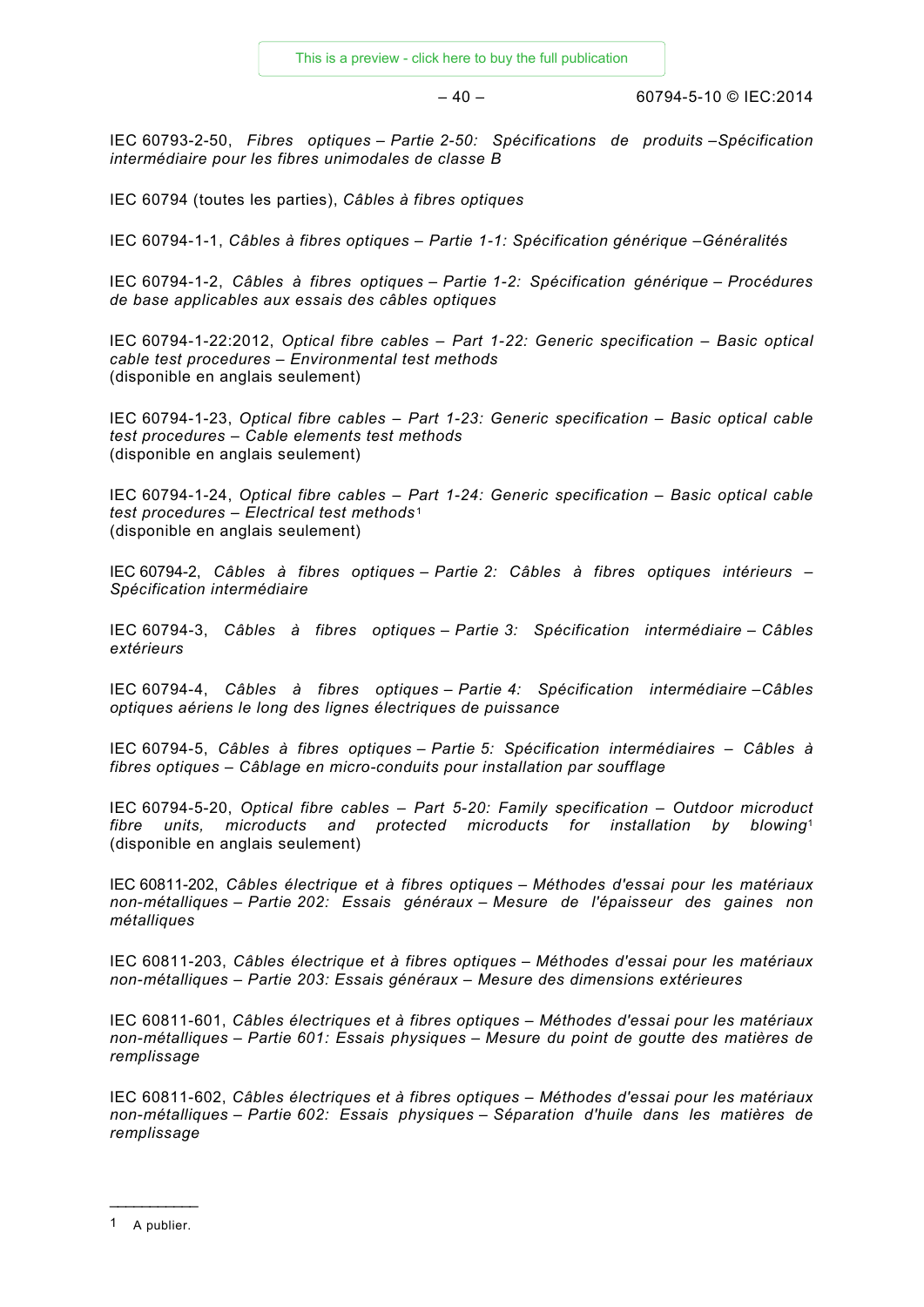$-40 - 60794 - 5 - 100$  IEC:2014

IEC 60793-2-50, *Fibres optiques – Partie 2-50: Spécifications de produits –Spécification intermédiaire pour les fibres unimodales de classe B*

IEC 60794 (toutes les parties), *Câbles à fibres optiques*

IEC 60794-1-1, *Câbles à fibres optiques – Partie 1-1: Spécification générique –Généralités*

IEC 60794-1-2, *Câbles à fibres optiques – Partie 1-2: Spécification générique – Procédures de base applicables aux essais des câbles optiques*

IEC 60794-1-22:2012, *Optical fibre cables – Part 1-22: Generic specification – Basic optical cable test procedures – Environmental test methods*  (disponible en anglais seulement)

IEC 60794-1-23, *Optical fibre cables – Part 1-23: Generic specification – Basic optical cable test procedures – Cable elements test methods*  (disponible en anglais seulement)

IEC 60794-1-24, *Optical fibre cables – Part 1-24: Generic specification – Basic optical cable test procedures – Electrical test methods* [1](#page-14-0) (disponible en anglais seulement)

IEC 60794-2, *Câbles à fibres optiques – Partie 2: Câbles à fibres optiques intérieurs – Spécification intermédiaire*

IEC 60794-3, *Câbles à fibres optiques – Partie 3: Spécification intermédiaire – Câbles extérieurs*

IEC 60794-4, *Câbles à fibres optiques – Partie 4: Spécification intermédiaire –Câbles optiques aériens le long des lignes électriques de puissance*

IEC 60794-5, *Câbles à fibres optiques – Partie 5: Spécification intermédiaires – Câbles à fibres optiques – Câblage en micro-conduits pour installation par soufflage*

IEC 60794-5-20, *Optical fibre cables – Part 5-20: Family specification – Outdoor microduct fibre units, microducts and protected microducts for installation by blowing*<sup>1</sup> (disponible en anglais seulement)

IEC 60811-202, *Câbles électrique et à fibres optiques – Méthodes d'essai pour les matériaux non-métalliques – Partie 202: Essais généraux – Mesure de l'épaisseur des gaines non métalliques*

IEC 60811-203, *Câbles électrique et à fibres optiques – Méthodes d'essai pour les matériaux non-métalliques – Partie 203: Essais généraux – Mesure des dimensions extérieures*

IEC 60811-601, *Câbles électriques et à fibres optiques – Méthodes d'essai pour les matériaux non-métalliques – Partie 601: Essais physiques – Mesure du point de goutte des matières de remplissage*

IEC 60811-602, *Câbles électriques et à fibres optiques – Méthodes d'essai pour les matériaux non-métalliques – Partie 602: Essais physiques – Séparation d'huile dans les matières de remplissage*

<span id="page-14-0"></span> $\overline{\phantom{a}}$ 1 A publier.